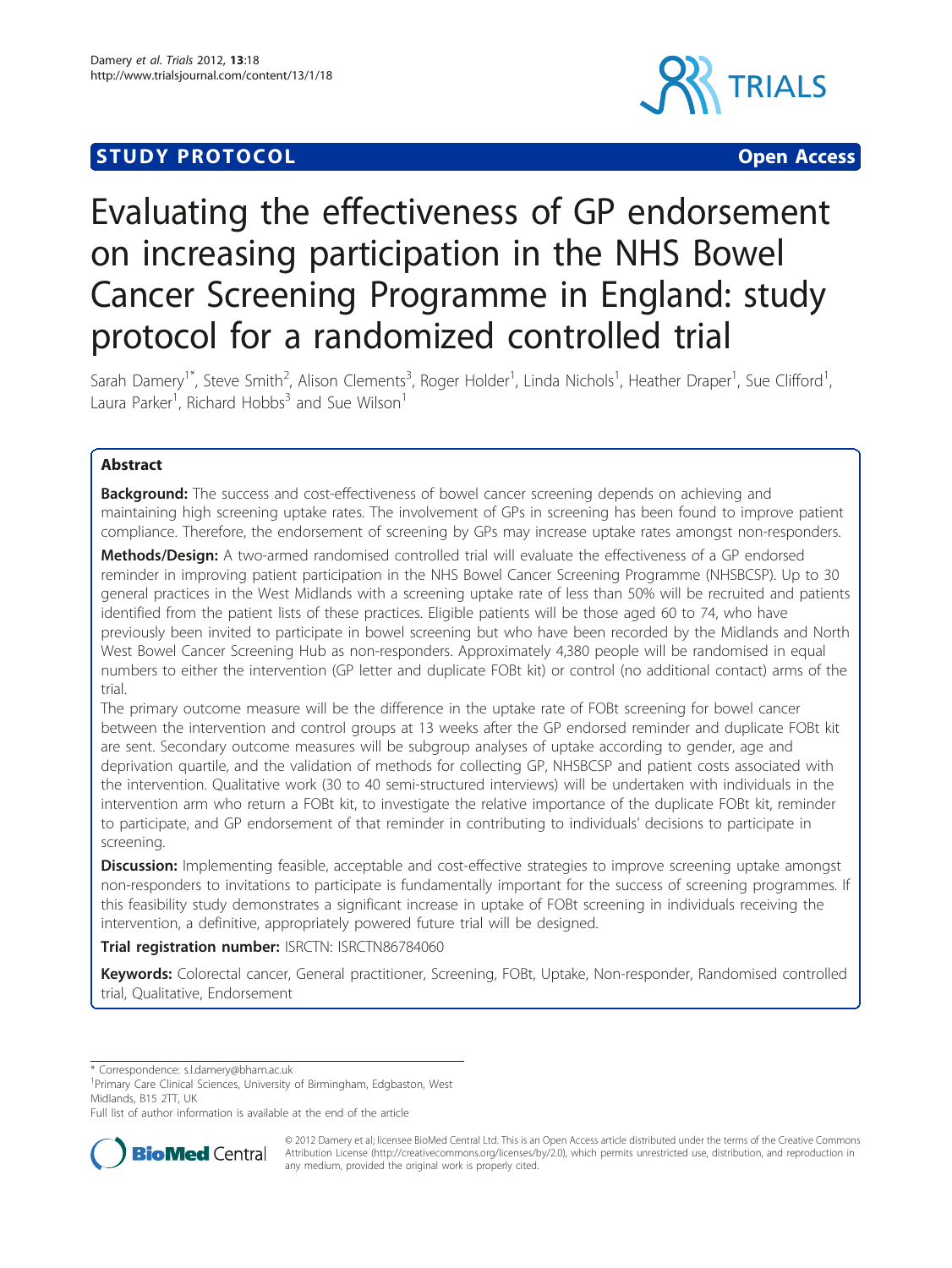# **STUDY PROTOCOL CONSUMING ACCESS**



# Evaluating the effectiveness of GP endorsement on increasing participation in the NHS Bowel Cancer Screening Programme in England: study protocol for a randomized controlled trial

Sarah Damery<sup>1\*</sup>, Steve Smith<sup>2</sup>, Alison Clements<sup>3</sup>, Roger Holder<sup>1</sup>, Linda Nichols<sup>1</sup>, Heather Draper<sup>1</sup>, Sue Clifford<sup>1</sup> , Laura Parker<sup>1</sup>, Richard Hobbs<sup>3</sup> and Sue Wilson<sup>1</sup>

# Abstract

**Background:** The success and cost-effectiveness of bowel cancer screening depends on achieving and maintaining high screening uptake rates. The involvement of GPs in screening has been found to improve patient compliance. Therefore, the endorsement of screening by GPs may increase uptake rates amongst non-responders.

Methods/Design: A two-armed randomised controlled trial will evaluate the effectiveness of a GP endorsed reminder in improving patient participation in the NHS Bowel Cancer Screening Programme (NHSBCSP). Up to 30 general practices in the West Midlands with a screening uptake rate of less than 50% will be recruited and patients identified from the patient lists of these practices. Eligible patients will be those aged 60 to 74, who have previously been invited to participate in bowel screening but who have been recorded by the Midlands and North West Bowel Cancer Screening Hub as non-responders. Approximately 4,380 people will be randomised in equal numbers to either the intervention (GP letter and duplicate FOBt kit) or control (no additional contact) arms of the trial.

The primary outcome measure will be the difference in the uptake rate of FOBt screening for bowel cancer between the intervention and control groups at 13 weeks after the GP endorsed reminder and duplicate FOBt kit are sent. Secondary outcome measures will be subgroup analyses of uptake according to gender, age and deprivation quartile, and the validation of methods for collecting GP, NHSBCSP and patient costs associated with the intervention. Qualitative work (30 to 40 semi-structured interviews) will be undertaken with individuals in the intervention arm who return a FOBt kit, to investigate the relative importance of the duplicate FOBt kit, reminder to participate, and GP endorsement of that reminder in contributing to individuals' decisions to participate in screening.

**Discussion:** Implementing feasible, acceptable and cost-effective strategies to improve screening uptake amongst non-responders to invitations to participate is fundamentally important for the success of screening programmes. If this feasibility study demonstrates a significant increase in uptake of FOBt screening in individuals receiving the intervention, a definitive, appropriately powered future trial will be designed.

Trial registration number: ISRCTN: [ISRCTN86784060](http://www.controlled-trials.com/ISRCTN86784060)

Keywords: Colorectal cancer, General practitioner, Screening, FOBt, Uptake, Non-responder, Randomised controlled trial, Qualitative, Endorsement

\* Correspondence: [s.l.damery@bham.ac.uk](mailto:s.l.damery@bham.ac.uk)

<sup>1</sup> Primary Care Clinical Sciences, University of Birmingham, Edgbaston, West Midlands, B15 2TT, UK

Full list of author information is available at the end of the article



© 2012 Damery et al; licensee BioMed Central Ltd. This is an Open Access article distributed under the terms of the Creative Commons Attribution License [\(http://creativecommons.org/licenses/by/2.0](http://creativecommons.org/licenses/by/2.0)), which permits unrestricted use, distribution, and reproduction in any medium, provided the original work is properly cited.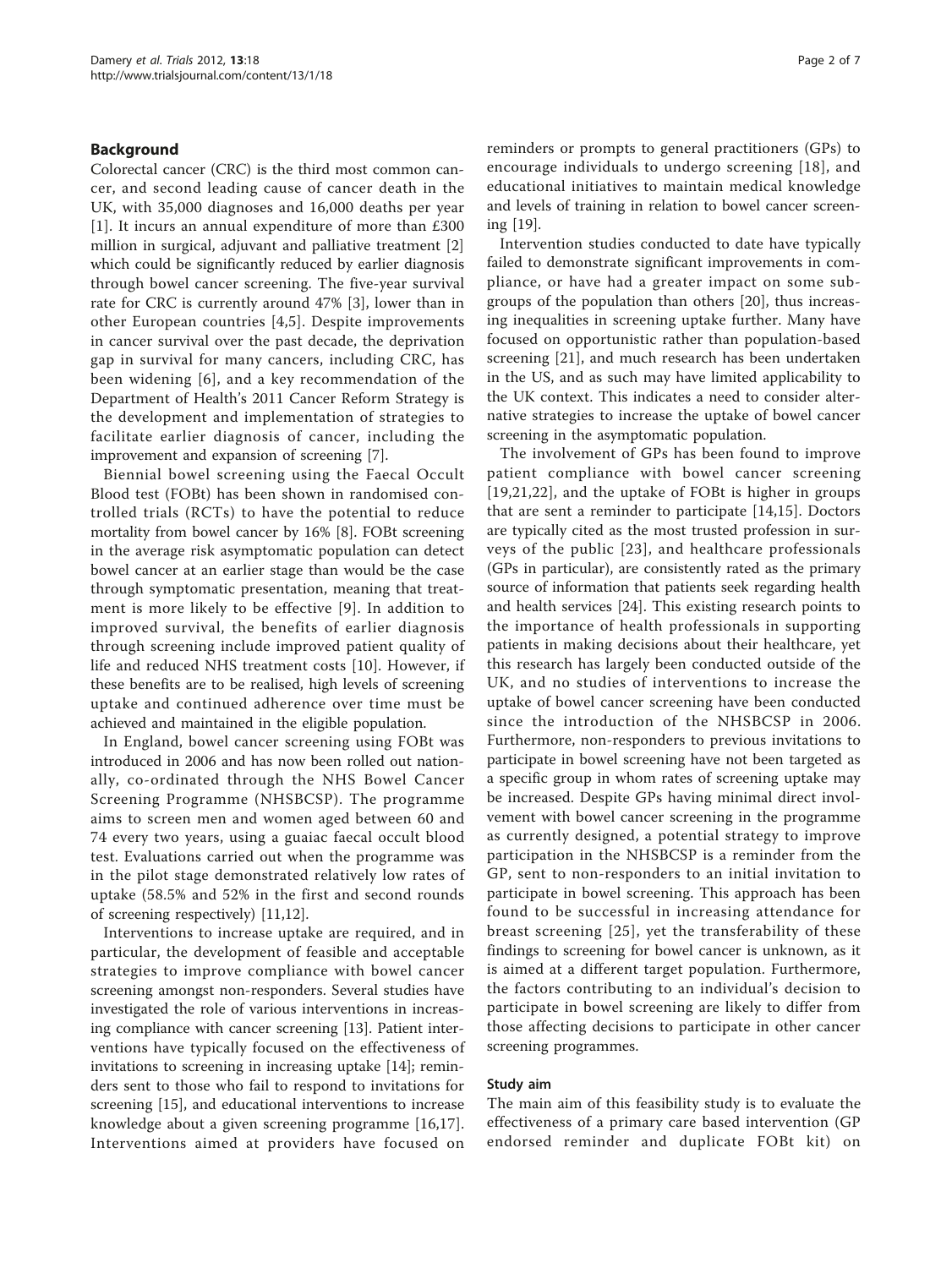#### Background

Colorectal cancer (CRC) is the third most common cancer, and second leading cause of cancer death in the UK, with 35,000 diagnoses and 16,000 deaths per year [[1](#page-6-0)]. It incurs an annual expenditure of more than £300 million in surgical, adjuvant and palliative treatment [\[2](#page-6-0)] which could be significantly reduced by earlier diagnosis through bowel cancer screening. The five-year survival rate for CRC is currently around 47% [[3\]](#page-6-0), lower than in other European countries [[4,5](#page-6-0)]. Despite improvements in cancer survival over the past decade, the deprivation gap in survival for many cancers, including CRC, has been widening [[6](#page-6-0)], and a key recommendation of the Department of Health's 2011 Cancer Reform Strategy is the development and implementation of strategies to facilitate earlier diagnosis of cancer, including the improvement and expansion of screening [[7\]](#page-6-0).

Biennial bowel screening using the Faecal Occult Blood test (FOBt) has been shown in randomised controlled trials (RCTs) to have the potential to reduce mortality from bowel cancer by 16% [\[8](#page-6-0)]. FOBt screening in the average risk asymptomatic population can detect bowel cancer at an earlier stage than would be the case through symptomatic presentation, meaning that treatment is more likely to be effective [[9](#page-6-0)]. In addition to improved survival, the benefits of earlier diagnosis through screening include improved patient quality of life and reduced NHS treatment costs [\[10](#page-6-0)]. However, if these benefits are to be realised, high levels of screening uptake and continued adherence over time must be achieved and maintained in the eligible population.

In England, bowel cancer screening using FOBt was introduced in 2006 and has now been rolled out nationally, co-ordinated through the NHS Bowel Cancer Screening Programme (NHSBCSP). The programme aims to screen men and women aged between 60 and 74 every two years, using a guaiac faecal occult blood test. Evaluations carried out when the programme was in the pilot stage demonstrated relatively low rates of uptake (58.5% and 52% in the first and second rounds of screening respectively) [\[11,12](#page-6-0)].

Interventions to increase uptake are required, and in particular, the development of feasible and acceptable strategies to improve compliance with bowel cancer screening amongst non-responders. Several studies have investigated the role of various interventions in increasing compliance with cancer screening [[13\]](#page-6-0). Patient interventions have typically focused on the effectiveness of invitations to screening in increasing uptake [[14](#page-6-0)]; reminders sent to those who fail to respond to invitations for screening [[15\]](#page-6-0), and educational interventions to increase knowledge about a given screening programme [[16,17](#page-6-0)]. Interventions aimed at providers have focused on reminders or prompts to general practitioners (GPs) to encourage individuals to undergo screening [[18\]](#page-6-0), and educational initiatives to maintain medical knowledge and levels of training in relation to bowel cancer screening [[19\]](#page-6-0).

Intervention studies conducted to date have typically failed to demonstrate significant improvements in compliance, or have had a greater impact on some subgroups of the population than others [\[20](#page-6-0)], thus increasing inequalities in screening uptake further. Many have focused on opportunistic rather than population-based screening [\[21](#page-6-0)], and much research has been undertaken in the US, and as such may have limited applicability to the UK context. This indicates a need to consider alternative strategies to increase the uptake of bowel cancer screening in the asymptomatic population.

The involvement of GPs has been found to improve patient compliance with bowel cancer screening [[19](#page-6-0),[21,22](#page-6-0)], and the uptake of FOBt is higher in groups that are sent a reminder to participate [\[14](#page-6-0),[15\]](#page-6-0). Doctors are typically cited as the most trusted profession in surveys of the public [[23](#page-6-0)], and healthcare professionals (GPs in particular), are consistently rated as the primary source of information that patients seek regarding health and health services [[24](#page-6-0)]. This existing research points to the importance of health professionals in supporting patients in making decisions about their healthcare, yet this research has largely been conducted outside of the UK, and no studies of interventions to increase the uptake of bowel cancer screening have been conducted since the introduction of the NHSBCSP in 2006. Furthermore, non-responders to previous invitations to participate in bowel screening have not been targeted as a specific group in whom rates of screening uptake may be increased. Despite GPs having minimal direct involvement with bowel cancer screening in the programme as currently designed, a potential strategy to improve participation in the NHSBCSP is a reminder from the GP, sent to non-responders to an initial invitation to participate in bowel screening. This approach has been found to be successful in increasing attendance for breast screening [[25\]](#page-6-0), yet the transferability of these findings to screening for bowel cancer is unknown, as it is aimed at a different target population. Furthermore, the factors contributing to an individual's decision to participate in bowel screening are likely to differ from those affecting decisions to participate in other cancer screening programmes.

#### Study aim

The main aim of this feasibility study is to evaluate the effectiveness of a primary care based intervention (GP endorsed reminder and duplicate FOBt kit) on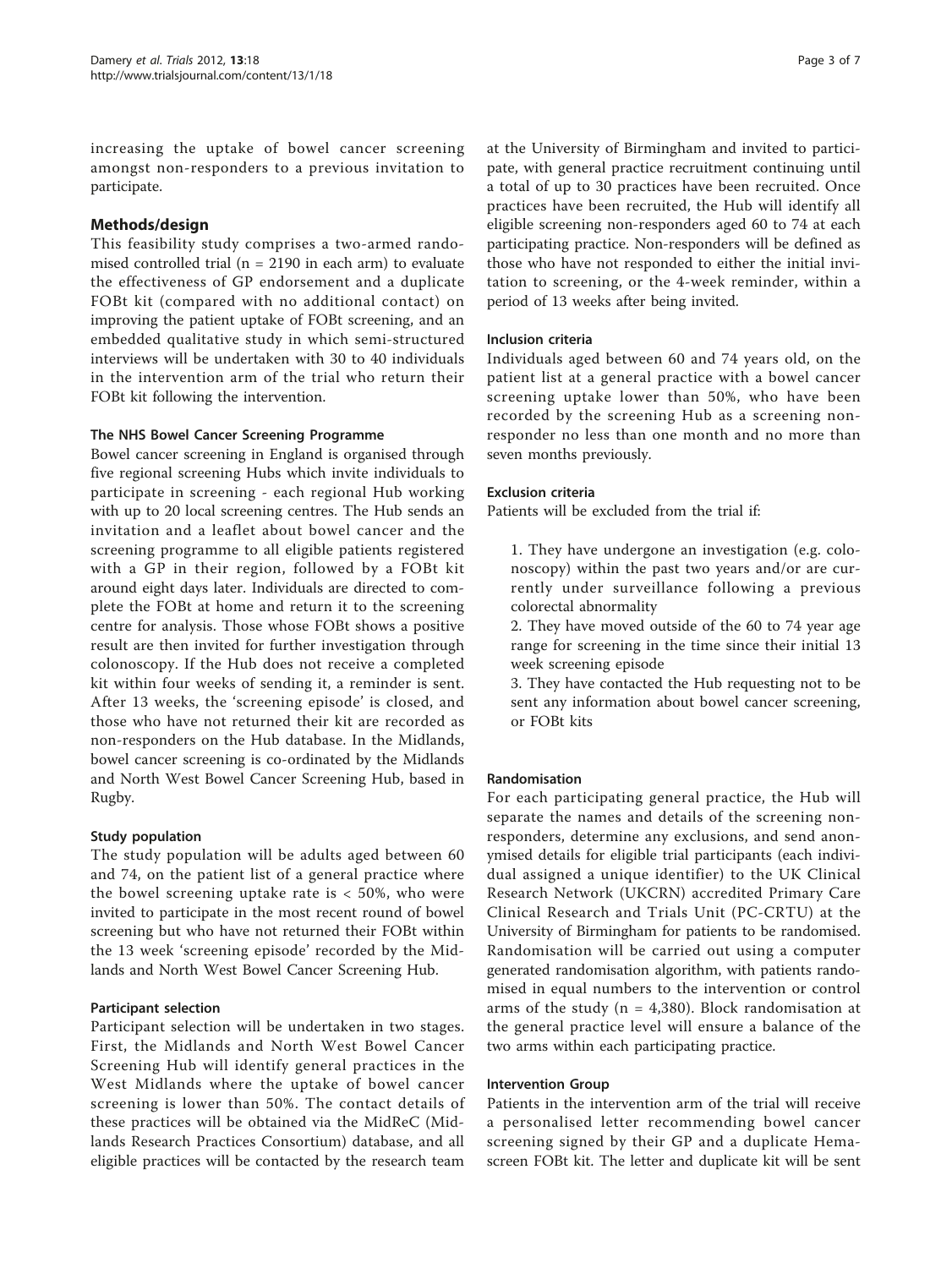increasing the uptake of bowel cancer screening amongst non-responders to a previous invitation to participate.

# Methods/design

This feasibility study comprises a two-armed randomised controlled trial ( $n = 2190$  in each arm) to evaluate the effectiveness of GP endorsement and a duplicate FOBt kit (compared with no additional contact) on improving the patient uptake of FOBt screening, and an embedded qualitative study in which semi-structured interviews will be undertaken with 30 to 40 individuals in the intervention arm of the trial who return their FOBt kit following the intervention.

## The NHS Bowel Cancer Screening Programme

Bowel cancer screening in England is organised through five regional screening Hubs which invite individuals to participate in screening - each regional Hub working with up to 20 local screening centres. The Hub sends an invitation and a leaflet about bowel cancer and the screening programme to all eligible patients registered with a GP in their region, followed by a FOBt kit around eight days later. Individuals are directed to complete the FOBt at home and return it to the screening centre for analysis. Those whose FOBt shows a positive result are then invited for further investigation through colonoscopy. If the Hub does not receive a completed kit within four weeks of sending it, a reminder is sent. After 13 weeks, the 'screening episode' is closed, and those who have not returned their kit are recorded as non-responders on the Hub database. In the Midlands, bowel cancer screening is co-ordinated by the Midlands and North West Bowel Cancer Screening Hub, based in Rugby.

## Study population

The study population will be adults aged between 60 and 74, on the patient list of a general practice where the bowel screening uptake rate is  $<$  50%, who were invited to participate in the most recent round of bowel screening but who have not returned their FOBt within the 13 week 'screening episode' recorded by the Midlands and North West Bowel Cancer Screening Hub.

#### Participant selection

Participant selection will be undertaken in two stages. First, the Midlands and North West Bowel Cancer Screening Hub will identify general practices in the West Midlands where the uptake of bowel cancer screening is lower than 50%. The contact details of these practices will be obtained via the MidReC (Midlands Research Practices Consortium) database, and all eligible practices will be contacted by the research team

at the University of Birmingham and invited to participate, with general practice recruitment continuing until a total of up to 30 practices have been recruited. Once practices have been recruited, the Hub will identify all eligible screening non-responders aged 60 to 74 at each participating practice. Non-responders will be defined as those who have not responded to either the initial invitation to screening, or the 4-week reminder, within a period of 13 weeks after being invited.

#### Inclusion criteria

Individuals aged between 60 and 74 years old, on the patient list at a general practice with a bowel cancer screening uptake lower than 50%, who have been recorded by the screening Hub as a screening nonresponder no less than one month and no more than seven months previously.

#### Exclusion criteria

Patients will be excluded from the trial if:

1. They have undergone an investigation (e.g. colonoscopy) within the past two years and/or are currently under surveillance following a previous colorectal abnormality

2. They have moved outside of the 60 to 74 year age range for screening in the time since their initial 13 week screening episode

3. They have contacted the Hub requesting not to be sent any information about bowel cancer screening, or FOBt kits

## Randomisation

For each participating general practice, the Hub will separate the names and details of the screening nonresponders, determine any exclusions, and send anonymised details for eligible trial participants (each individual assigned a unique identifier) to the UK Clinical Research Network (UKCRN) accredited Primary Care Clinical Research and Trials Unit (PC-CRTU) at the University of Birmingham for patients to be randomised. Randomisation will be carried out using a computer generated randomisation algorithm, with patients randomised in equal numbers to the intervention or control arms of the study ( $n = 4,380$ ). Block randomisation at the general practice level will ensure a balance of the two arms within each participating practice.

#### Intervention Group

Patients in the intervention arm of the trial will receive a personalised letter recommending bowel cancer screening signed by their GP and a duplicate Hemascreen FOBt kit. The letter and duplicate kit will be sent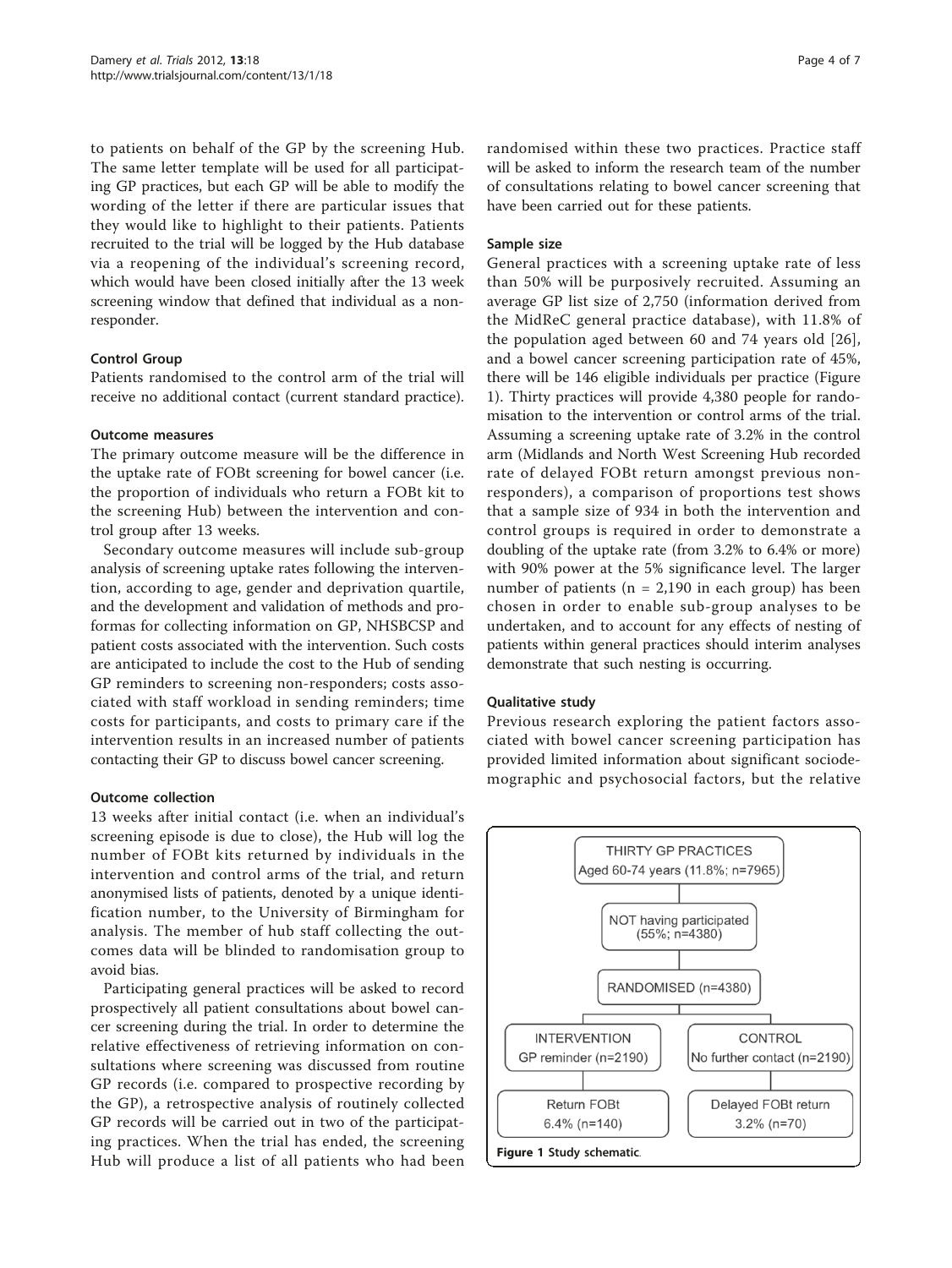to patients on behalf of the GP by the screening Hub. The same letter template will be used for all participating GP practices, but each GP will be able to modify the wording of the letter if there are particular issues that they would like to highlight to their patients. Patients recruited to the trial will be logged by the Hub database via a reopening of the individual's screening record, which would have been closed initially after the 13 week screening window that defined that individual as a nonresponder.

## Control Group

Patients randomised to the control arm of the trial will receive no additional contact (current standard practice).

#### Outcome measures

The primary outcome measure will be the difference in the uptake rate of FOBt screening for bowel cancer (i.e. the proportion of individuals who return a FOBt kit to the screening Hub) between the intervention and control group after 13 weeks.

Secondary outcome measures will include sub-group analysis of screening uptake rates following the intervention, according to age, gender and deprivation quartile, and the development and validation of methods and proformas for collecting information on GP, NHSBCSP and patient costs associated with the intervention. Such costs are anticipated to include the cost to the Hub of sending GP reminders to screening non-responders; costs associated with staff workload in sending reminders; time costs for participants, and costs to primary care if the intervention results in an increased number of patients contacting their GP to discuss bowel cancer screening.

#### Outcome collection

13 weeks after initial contact (i.e. when an individual's screening episode is due to close), the Hub will log the number of FOBt kits returned by individuals in the intervention and control arms of the trial, and return anonymised lists of patients, denoted by a unique identification number, to the University of Birmingham for analysis. The member of hub staff collecting the outcomes data will be blinded to randomisation group to avoid bias.

Participating general practices will be asked to record prospectively all patient consultations about bowel cancer screening during the trial. In order to determine the relative effectiveness of retrieving information on consultations where screening was discussed from routine GP records (i.e. compared to prospective recording by the GP), a retrospective analysis of routinely collected GP records will be carried out in two of the participating practices. When the trial has ended, the screening Hub will produce a list of all patients who had been

randomised within these two practices. Practice staff will be asked to inform the research team of the number of consultations relating to bowel cancer screening that have been carried out for these patients.

#### Sample size

General practices with a screening uptake rate of less than 50% will be purposively recruited. Assuming an average GP list size of 2,750 (information derived from the MidReC general practice database), with 11.8% of the population aged between 60 and 74 years old [[26](#page-6-0)], and a bowel cancer screening participation rate of 45%, there will be 146 eligible individuals per practice (Figure 1). Thirty practices will provide 4,380 people for randomisation to the intervention or control arms of the trial. Assuming a screening uptake rate of 3.2% in the control arm (Midlands and North West Screening Hub recorded rate of delayed FOBt return amongst previous nonresponders), a comparison of proportions test shows that a sample size of 934 in both the intervention and control groups is required in order to demonstrate a doubling of the uptake rate (from 3.2% to 6.4% or more) with 90% power at the 5% significance level. The larger number of patients ( $n = 2,190$  in each group) has been chosen in order to enable sub-group analyses to be undertaken, and to account for any effects of nesting of patients within general practices should interim analyses demonstrate that such nesting is occurring.

#### Qualitative study

Previous research exploring the patient factors associated with bowel cancer screening participation has provided limited information about significant sociodemographic and psychosocial factors, but the relative

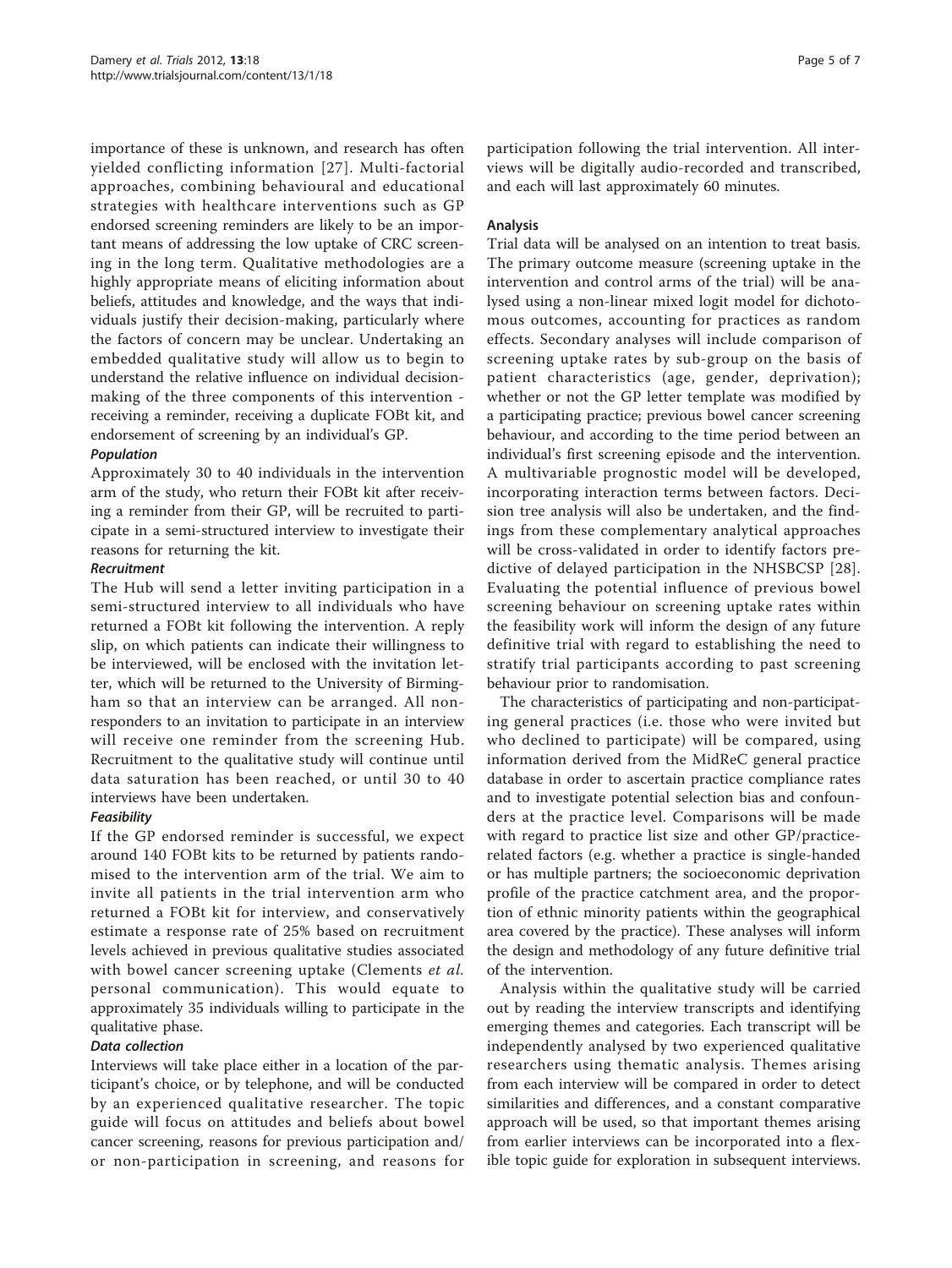importance of these is unknown, and research has often yielded conflicting information [[27](#page-6-0)]. Multi-factorial approaches, combining behavioural and educational strategies with healthcare interventions such as GP endorsed screening reminders are likely to be an important means of addressing the low uptake of CRC screening in the long term. Qualitative methodologies are a highly appropriate means of eliciting information about beliefs, attitudes and knowledge, and the ways that individuals justify their decision-making, particularly where the factors of concern may be unclear. Undertaking an embedded qualitative study will allow us to begin to understand the relative influence on individual decisionmaking of the three components of this intervention receiving a reminder, receiving a duplicate FOBt kit, and endorsement of screening by an individual's GP.

## Population

Approximately 30 to 40 individuals in the intervention arm of the study, who return their FOBt kit after receiving a reminder from their GP, will be recruited to participate in a semi-structured interview to investigate their reasons for returning the kit.

## Recruitment

The Hub will send a letter inviting participation in a semi-structured interview to all individuals who have returned a FOBt kit following the intervention. A reply slip, on which patients can indicate their willingness to be interviewed, will be enclosed with the invitation letter, which will be returned to the University of Birmingham so that an interview can be arranged. All nonresponders to an invitation to participate in an interview will receive one reminder from the screening Hub. Recruitment to the qualitative study will continue until data saturation has been reached, or until 30 to 40 interviews have been undertaken.

## **Feasibility**

If the GP endorsed reminder is successful, we expect around 140 FOBt kits to be returned by patients randomised to the intervention arm of the trial. We aim to invite all patients in the trial intervention arm who returned a FOBt kit for interview, and conservatively estimate a response rate of 25% based on recruitment levels achieved in previous qualitative studies associated with bowel cancer screening uptake (Clements et al. personal communication). This would equate to approximately 35 individuals willing to participate in the qualitative phase.

## Data collection

Interviews will take place either in a location of the participant's choice, or by telephone, and will be conducted by an experienced qualitative researcher. The topic guide will focus on attitudes and beliefs about bowel cancer screening, reasons for previous participation and/ or non-participation in screening, and reasons for participation following the trial intervention. All interviews will be digitally audio-recorded and transcribed, and each will last approximately 60 minutes.

# Analysis

Trial data will be analysed on an intention to treat basis. The primary outcome measure (screening uptake in the intervention and control arms of the trial) will be analysed using a non-linear mixed logit model for dichotomous outcomes, accounting for practices as random effects. Secondary analyses will include comparison of screening uptake rates by sub-group on the basis of patient characteristics (age, gender, deprivation); whether or not the GP letter template was modified by a participating practice; previous bowel cancer screening behaviour, and according to the time period between an individual's first screening episode and the intervention. A multivariable prognostic model will be developed, incorporating interaction terms between factors. Decision tree analysis will also be undertaken, and the findings from these complementary analytical approaches will be cross-validated in order to identify factors predictive of delayed participation in the NHSBCSP [[28\]](#page-6-0). Evaluating the potential influence of previous bowel screening behaviour on screening uptake rates within the feasibility work will inform the design of any future definitive trial with regard to establishing the need to stratify trial participants according to past screening behaviour prior to randomisation.

The characteristics of participating and non-participating general practices (i.e. those who were invited but who declined to participate) will be compared, using information derived from the MidReC general practice database in order to ascertain practice compliance rates and to investigate potential selection bias and confounders at the practice level. Comparisons will be made with regard to practice list size and other GP/practicerelated factors (e.g. whether a practice is single-handed or has multiple partners; the socioeconomic deprivation profile of the practice catchment area, and the proportion of ethnic minority patients within the geographical area covered by the practice). These analyses will inform the design and methodology of any future definitive trial of the intervention.

Analysis within the qualitative study will be carried out by reading the interview transcripts and identifying emerging themes and categories. Each transcript will be independently analysed by two experienced qualitative researchers using thematic analysis. Themes arising from each interview will be compared in order to detect similarities and differences, and a constant comparative approach will be used, so that important themes arising from earlier interviews can be incorporated into a flexible topic guide for exploration in subsequent interviews.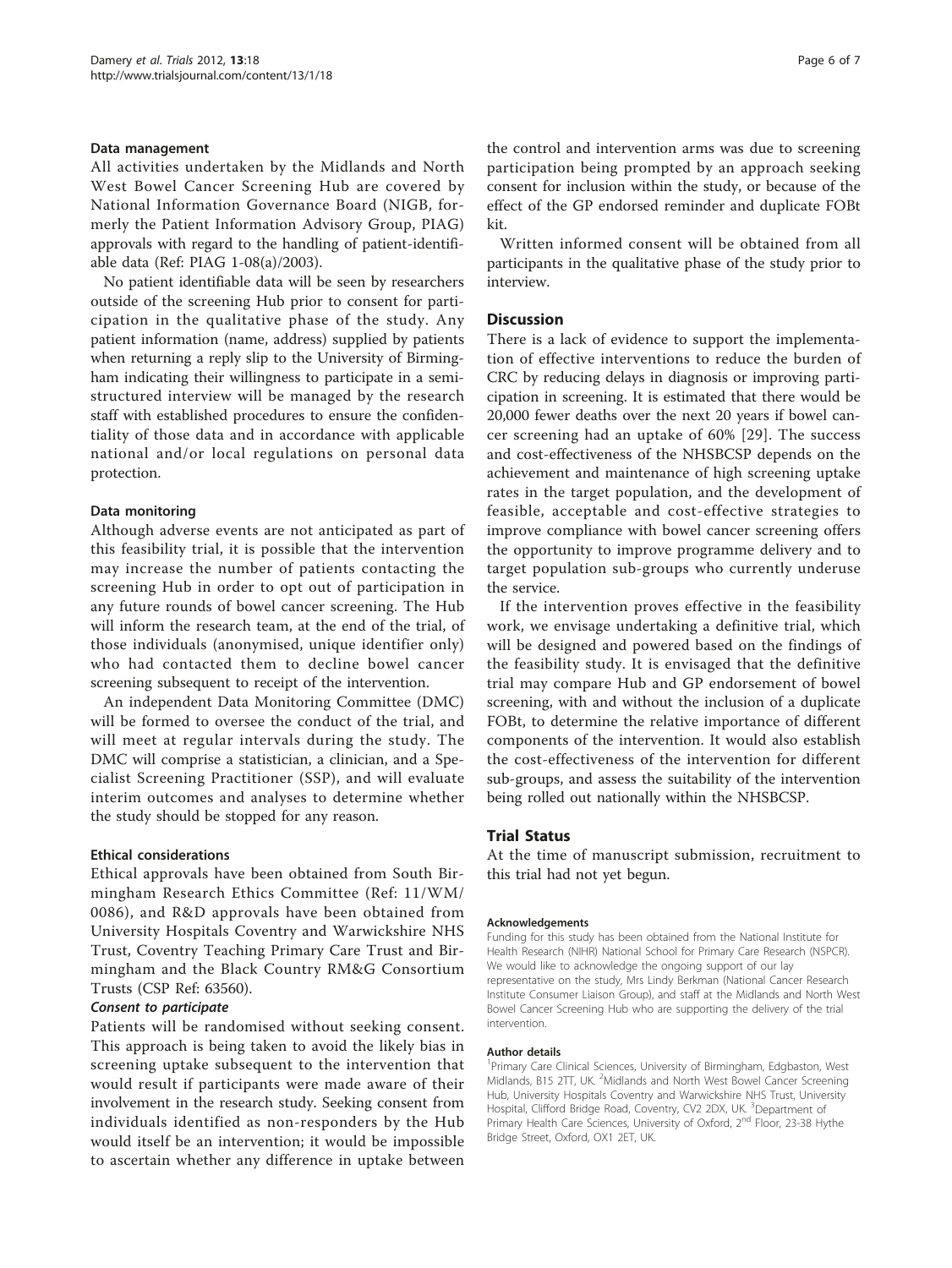#### Data management

All activities undertaken by the Midlands and North West Bowel Cancer Screening Hub are covered by National Information Governance Board (NIGB, formerly the Patient Information Advisory Group, PIAG) approvals with regard to the handling of patient-identifiable data (Ref: PIAG 1-08(a)/2003).

No patient identifiable data will be seen by researchers outside of the screening Hub prior to consent for participation in the qualitative phase of the study. Any patient information (name, address) supplied by patients when returning a reply slip to the University of Birmingham indicating their willingness to participate in a semistructured interview will be managed by the research staff with established procedures to ensure the confidentiality of those data and in accordance with applicable national and/or local regulations on personal data protection.

## Data monitoring

Although adverse events are not anticipated as part of this feasibility trial, it is possible that the intervention may increase the number of patients contacting the screening Hub in order to opt out of participation in any future rounds of bowel cancer screening. The Hub will inform the research team, at the end of the trial, of those individuals (anonymised, unique identifier only) who had contacted them to decline bowel cancer screening subsequent to receipt of the intervention.

An independent Data Monitoring Committee (DMC) will be formed to oversee the conduct of the trial, and will meet at regular intervals during the study. The DMC will comprise a statistician, a clinician, and a Specialist Screening Practitioner (SSP), and will evaluate interim outcomes and analyses to determine whether the study should be stopped for any reason.

## Ethical considerations

Ethical approvals have been obtained from South Birmingham Research Ethics Committee (Ref: 11/WM/ 0086), and R&D approvals have been obtained from University Hospitals Coventry and Warwickshire NHS Trust, Coventry Teaching Primary Care Trust and Birmingham and the Black Country RM&G Consortium Trusts (CSP Ref: 63560).

#### Consent to participate

Patients will be randomised without seeking consent. This approach is being taken to avoid the likely bias in screening uptake subsequent to the intervention that would result if participants were made aware of their involvement in the research study. Seeking consent from individuals identified as non-responders by the Hub would itself be an intervention; it would be impossible to ascertain whether any difference in uptake between

the control and intervention arms was due to screening participation being prompted by an approach seeking consent for inclusion within the study, or because of the effect of the GP endorsed reminder and duplicate FOBt kit.

Written informed consent will be obtained from all participants in the qualitative phase of the study prior to interview.

## **Discussion**

There is a lack of evidence to support the implementation of effective interventions to reduce the burden of CRC by reducing delays in diagnosis or improving participation in screening. It is estimated that there would be 20,000 fewer deaths over the next 20 years if bowel cancer screening had an uptake of 60% [\[29\]](#page-6-0). The success and cost-effectiveness of the NHSBCSP depends on the achievement and maintenance of high screening uptake rates in the target population, and the development of feasible, acceptable and cost-effective strategies to improve compliance with bowel cancer screening offers the opportunity to improve programme delivery and to target population sub-groups who currently underuse the service.

If the intervention proves effective in the feasibility work, we envisage undertaking a definitive trial, which will be designed and powered based on the findings of the feasibility study. It is envisaged that the definitive trial may compare Hub and GP endorsement of bowel screening, with and without the inclusion of a duplicate FOBt, to determine the relative importance of different components of the intervention. It would also establish the cost-effectiveness of the intervention for different sub-groups, and assess the suitability of the intervention being rolled out nationally within the NHSBCSP.

## Trial Status

At the time of manuscript submission, recruitment to this trial had not yet begun.

#### Acknowledgements

Funding for this study has been obtained from the National Institute for Health Research (NIHR) National School for Primary Care Research (NSPCR). We would like to acknowledge the ongoing support of our lay representative on the study, Mrs Lindy Berkman (National Cancer Research Institute Consumer Liaison Group), and staff at the Midlands and North West Bowel Cancer Screening Hub who are supporting the delivery of the trial intervention.

#### Author details

<sup>1</sup> Primary Care Clinical Sciences, University of Birmingham, Edgbaston, West Midlands, B15 2TT, UK. <sup>2</sup>Midlands and North West Bowel Cancer Screening Hub, University Hospitals Coventry and Warwickshire NHS Trust, University Hospital, Clifford Bridge Road, Coventry, CV2 2DX, UK. <sup>3</sup>Department of Primary Health Care Sciences, University of Oxford, 2<sup>nd</sup> Floor, 23-38 Hythe Bridge Street, Oxford, OX1 2ET, UK.